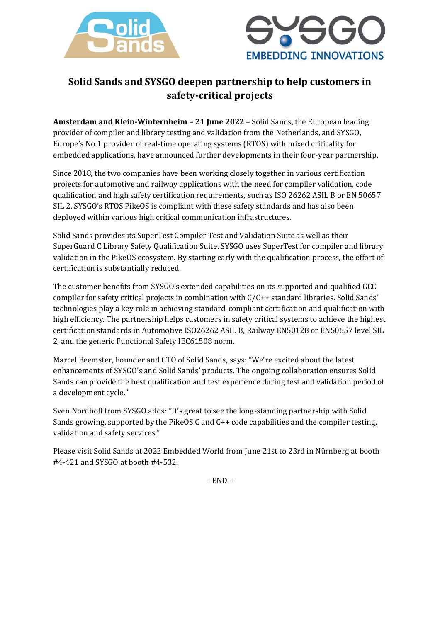



## **Solid Sands and SYSGO deepen partnership to help customers in safety-critical projects**

**Amsterdam and Klein-Winternheim – 21 June 2022** – Solid Sands, the European leading provider of compiler and library testing and validation from the Netherlands, and SYSGO, Europe's No 1 provider of real-time operating systems (RTOS) with mixed criticality for embedded applications, have announced further developments in their four-year partnership.

Since 2018, the two companies have been working closely together in various certification projects for automotive and railway applications with the need for compiler validation, code qualification and high safety certification requirements, such as ISO 26262 ASIL B or EN 50657 SIL 2. SYSGO's RTOS PikeOS is compliant with these safety standards and has also been deployed within various high critical communication infrastructures.

Solid Sands provides its SuperTest Compiler Test and Validation Suite as well as their SuperGuard C Library Safety Qualification Suite. SYSGO uses SuperTest for compiler and library validation in the PikeOS ecosystem. By starting early with the qualification process, the effort of certification is substantially reduced.

The customer benefits from SYSGO's extended capabilities on its supported and qualified GCC compiler for safety critical projects in combination with C/C++ standard libraries. Solid Sands' technologies play a key role in achieving standard-compliant certification and qualification with high efficiency. The partnership helps customers in safety critical systems to achieve the highest certification standards in Automotive ISO26262 ASIL B, Railway EN50128 or EN50657 level SIL 2, and the generic Functional Safety IEC61508 norm.

Marcel Beemster, Founder and CTO of Solid Sands, says: "We're excited about the latest enhancements of SYSGO's and Solid Sands' products. The ongoing collaboration ensures Solid Sands can provide the best qualification and test experience during test and validation period of a development cycle."

Sven Nordhoff from SYSGO adds: "It's great to see the long-standing partnership with Solid Sands growing, supported by the PikeOS C and C++ code capabilities and the compiler testing, validation and safety services."

Please visit Solid Sands at 2022 Embedded World from June 21st to 23rd in Nürnberg at booth #4-421 and SYSGO at booth #4-532.

– END –